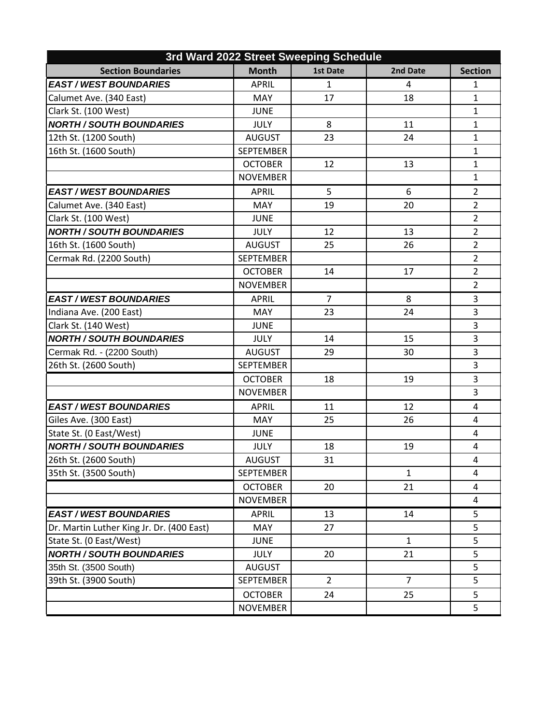| 3rd Ward 2022 Street Sweeping Schedule    |                  |                 |                |                |
|-------------------------------------------|------------------|-----------------|----------------|----------------|
| <b>Section Boundaries</b>                 | <b>Month</b>     | <b>1st Date</b> | 2nd Date       | <b>Section</b> |
| <b>EAST / WEST BOUNDARIES</b>             | <b>APRIL</b>     | $\mathbf{1}$    | 4              | $\mathbf{1}$   |
| Calumet Ave. (340 East)                   | <b>MAY</b>       | 17              | 18             | $\mathbf{1}$   |
| Clark St. (100 West)                      | <b>JUNE</b>      |                 |                | $\mathbf{1}$   |
| <b>NORTH / SOUTH BOUNDARIES</b>           | <b>JULY</b>      | 8               | 11             | $\mathbf{1}$   |
| 12th St. (1200 South)                     | <b>AUGUST</b>    | 23              | 24             | $\mathbf{1}$   |
| 16th St. (1600 South)                     | <b>SEPTEMBER</b> |                 |                | $\mathbf{1}$   |
|                                           | <b>OCTOBER</b>   | 12              | 13             | $\mathbf{1}$   |
|                                           | <b>NOVEMBER</b>  |                 |                | $\mathbf{1}$   |
| <b>EAST / WEST BOUNDARIES</b>             | <b>APRIL</b>     | 5               | 6              | $\overline{2}$ |
| Calumet Ave. (340 East)                   | <b>MAY</b>       | 19              | 20             | $\overline{2}$ |
| Clark St. (100 West)                      | <b>JUNE</b>      |                 |                | $\overline{2}$ |
| <b>NORTH / SOUTH BOUNDARIES</b>           | <b>JULY</b>      | 12              | 13             | $\overline{2}$ |
| 16th St. (1600 South)                     | <b>AUGUST</b>    | 25              | 26             | $\overline{2}$ |
| Cermak Rd. (2200 South)                   | <b>SEPTEMBER</b> |                 |                | $\overline{2}$ |
|                                           | <b>OCTOBER</b>   | 14              | 17             | $\overline{2}$ |
|                                           | <b>NOVEMBER</b>  |                 |                | $\overline{2}$ |
| <b>EAST / WEST BOUNDARIES</b>             | <b>APRIL</b>     | 7               | 8              | 3              |
| Indiana Ave. (200 East)                   | MAY              | 23              | 24             | $\overline{3}$ |
| Clark St. (140 West)                      | <b>JUNE</b>      |                 |                | 3              |
| <b>NORTH / SOUTH BOUNDARIES</b>           | <b>JULY</b>      | 14              | 15             | 3              |
| Cermak Rd. - (2200 South)                 | <b>AUGUST</b>    | 29              | 30             | 3              |
| 26th St. (2600 South)                     | <b>SEPTEMBER</b> |                 |                | 3              |
|                                           | <b>OCTOBER</b>   | 18              | 19             | 3              |
|                                           | <b>NOVEMBER</b>  |                 |                | 3              |
| <b>EAST / WEST BOUNDARIES</b>             | <b>APRIL</b>     | 11              | 12             | $\overline{4}$ |
| Giles Ave. (300 East)                     | <b>MAY</b>       | 25              | 26             | 4              |
| State St. (0 East/West)                   | <b>JUNE</b>      |                 |                | 4              |
| <b>NORTH / SOUTH BOUNDARIES</b>           | <b>JULY</b>      | 18              | 19             | 4              |
| 26th St. (2600 South)                     | AUGUST           | 31              |                | 4              |
| 35th St. (3500 South)                     | <b>SEPTEMBER</b> |                 | $\mathbf{1}$   | 4              |
|                                           | <b>OCTOBER</b>   | 20              | 21             | 4              |
|                                           | <b>NOVEMBER</b>  |                 |                | 4              |
| <b>EAST / WEST BOUNDARIES</b>             | <b>APRIL</b>     | 13              | 14             | 5              |
| Dr. Martin Luther King Jr. Dr. (400 East) | <b>MAY</b>       | 27              |                | 5              |
| State St. (0 East/West)                   | <b>JUNE</b>      |                 | $\mathbf{1}$   | 5              |
| <b>NORTH / SOUTH BOUNDARIES</b>           | <b>JULY</b>      | 20              | 21             | 5              |
| 35th St. (3500 South)                     | <b>AUGUST</b>    |                 |                | 5              |
| 39th St. (3900 South)                     | <b>SEPTEMBER</b> | $\overline{2}$  | $\overline{7}$ | 5              |
|                                           | <b>OCTOBER</b>   | 24              | 25             | 5              |
|                                           | <b>NOVEMBER</b>  |                 |                | 5              |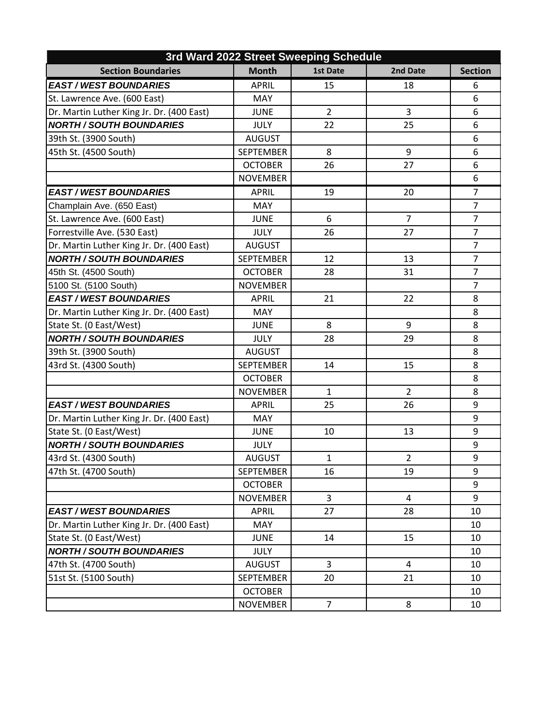| 3rd Ward 2022 Street Sweeping Schedule    |                  |                 |                |                |
|-------------------------------------------|------------------|-----------------|----------------|----------------|
| <b>Section Boundaries</b>                 | <b>Month</b>     | <b>1st Date</b> | 2nd Date       | <b>Section</b> |
| <b>EAST / WEST BOUNDARIES</b>             | <b>APRIL</b>     | 15              | 18             | 6              |
| St. Lawrence Ave. (600 East)              | <b>MAY</b>       |                 |                | 6              |
| Dr. Martin Luther King Jr. Dr. (400 East) | <b>JUNE</b>      | $\overline{2}$  | 3              | 6              |
| <b>NORTH / SOUTH BOUNDARIES</b>           | <b>JULY</b>      | 22              | 25             | 6              |
| 39th St. (3900 South)                     | <b>AUGUST</b>    |                 |                | 6              |
| 45th St. (4500 South)                     | <b>SEPTEMBER</b> | 8               | 9              | 6              |
|                                           | <b>OCTOBER</b>   | 26              | 27             | 6              |
|                                           | <b>NOVEMBER</b>  |                 |                | 6              |
| <b>EAST / WEST BOUNDARIES</b>             | <b>APRIL</b>     | 19              | 20             | $\overline{7}$ |
| Champlain Ave. (650 East)                 | MAY              |                 |                | $\overline{7}$ |
| St. Lawrence Ave. (600 East)              | <b>JUNE</b>      | 6               | $\overline{7}$ | $\overline{7}$ |
| Forrestville Ave. (530 East)              | <b>JULY</b>      | 26              | 27             | $\overline{7}$ |
| Dr. Martin Luther King Jr. Dr. (400 East) | <b>AUGUST</b>    |                 |                | $\overline{7}$ |
| <b>NORTH / SOUTH BOUNDARIES</b>           | <b>SEPTEMBER</b> | 12              | 13             | $\overline{7}$ |
| 45th St. (4500 South)                     | <b>OCTOBER</b>   | 28              | 31             | $\overline{7}$ |
| 5100 St. (5100 South)                     | <b>NOVEMBER</b>  |                 |                | $\overline{7}$ |
| <b>EAST / WEST BOUNDARIES</b>             | <b>APRIL</b>     | 21              | 22             | 8              |
| Dr. Martin Luther King Jr. Dr. (400 East) | MAY              |                 |                | 8              |
| State St. (0 East/West)                   | <b>JUNE</b>      | 8               | 9              | 8              |
| <b>NORTH / SOUTH BOUNDARIES</b>           | <b>JULY</b>      | 28              | 29             | 8              |
| 39th St. (3900 South)                     | <b>AUGUST</b>    |                 |                | 8              |
| 43rd St. (4300 South)                     | <b>SEPTEMBER</b> | 14              | 15             | 8              |
|                                           | <b>OCTOBER</b>   |                 |                | 8              |
|                                           | <b>NOVEMBER</b>  | $\mathbf{1}$    | $\overline{2}$ | 8              |
| <b>EAST / WEST BOUNDARIES</b>             | <b>APRIL</b>     | 25              | 26             | 9              |
| Dr. Martin Luther King Jr. Dr. (400 East) | MAY              |                 |                | 9              |
| State St. (0 East/West)                   | <b>JUNE</b>      | 10              | 13             | 9              |
| <b>NORTH / SOUTH BOUNDARIES</b>           | <b>JULY</b>      |                 |                | 9              |
| 43rd St. (4300 South)                     | <b>AUGUST</b>    | 1               | $\overline{2}$ | 9              |
| 47th St. (4700 South)                     | <b>SEPTEMBER</b> | 16              | 19             | 9              |
|                                           | <b>OCTOBER</b>   |                 |                | 9              |
|                                           | <b>NOVEMBER</b>  | 3               | $\overline{4}$ | 9              |
| <b>EAST / WEST BOUNDARIES</b>             | APRIL            | 27              | 28             | 10             |
| Dr. Martin Luther King Jr. Dr. (400 East) | MAY              |                 |                | 10             |
| State St. (0 East/West)                   | <b>JUNE</b>      | 14              | 15             | 10             |
| <b>NORTH / SOUTH BOUNDARIES</b>           | <b>JULY</b>      |                 |                | 10             |
| 47th St. (4700 South)                     | <b>AUGUST</b>    | $\overline{3}$  | $\overline{4}$ | 10             |
| 51st St. (5100 South)                     | <b>SEPTEMBER</b> | 20              | 21             | 10             |
|                                           | <b>OCTOBER</b>   |                 |                | 10             |
|                                           | <b>NOVEMBER</b>  | $\overline{7}$  | 8              | 10             |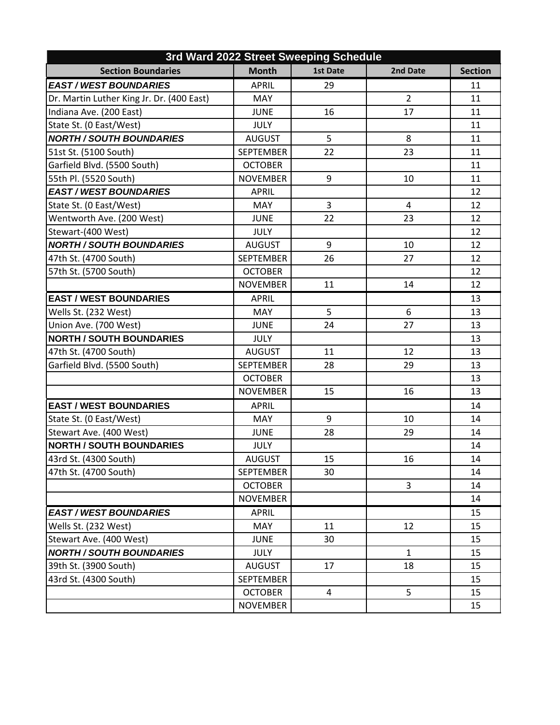| 3rd Ward 2022 Street Sweeping Schedule    |                  |                 |                |                |
|-------------------------------------------|------------------|-----------------|----------------|----------------|
| <b>Section Boundaries</b>                 | <b>Month</b>     | <b>1st Date</b> | 2nd Date       | <b>Section</b> |
| <b>EAST / WEST BOUNDARIES</b>             | <b>APRIL</b>     | 29              |                | 11             |
| Dr. Martin Luther King Jr. Dr. (400 East) | <b>MAY</b>       |                 | $\overline{2}$ | 11             |
| Indiana Ave. (200 East)                   | <b>JUNE</b>      | 16              | 17             | 11             |
| State St. (0 East/West)                   | <b>JULY</b>      |                 |                | 11             |
| <b>NORTH / SOUTH BOUNDARIES</b>           | <b>AUGUST</b>    | 5               | 8              | 11             |
| 51st St. (5100 South)                     | <b>SEPTEMBER</b> | 22              | 23             | 11             |
| Garfield Blvd. (5500 South)               | <b>OCTOBER</b>   |                 |                | 11             |
| 55th Pl. (5520 South)                     | <b>NOVEMBER</b>  | 9               | 10             | 11             |
| <b>EAST / WEST BOUNDARIES</b>             | <b>APRIL</b>     |                 |                | 12             |
| State St. (0 East/West)                   | MAY              | 3               | $\overline{a}$ | 12             |
| Wentworth Ave. (200 West)                 | <b>JUNE</b>      | 22              | 23             | 12             |
| Stewart-(400 West)                        | <b>JULY</b>      |                 |                | 12             |
| <b>NORTH / SOUTH BOUNDARIES</b>           | <b>AUGUST</b>    | 9               | 10             | 12             |
| 47th St. (4700 South)                     | <b>SEPTEMBER</b> | 26              | 27             | 12             |
| 57th St. (5700 South)                     | <b>OCTOBER</b>   |                 |                | 12             |
|                                           | <b>NOVEMBER</b>  | 11              | 14             | 12             |
| <b>EAST / WEST BOUNDARIES</b>             | <b>APRIL</b>     |                 |                | 13             |
| Wells St. (232 West)                      | MAY              | 5               | 6              | 13             |
| Union Ave. (700 West)                     | <b>JUNE</b>      | 24              | 27             | 13             |
| <b>NORTH / SOUTH BOUNDARIES</b>           | <b>JULY</b>      |                 |                | 13             |
| 47th St. (4700 South)                     | <b>AUGUST</b>    | 11              | 12             | 13             |
| Garfield Blvd. (5500 South)               | <b>SEPTEMBER</b> | 28              | 29             | 13             |
|                                           | <b>OCTOBER</b>   |                 |                | 13             |
|                                           | <b>NOVEMBER</b>  | 15              | 16             | 13             |
| <b>EAST / WEST BOUNDARIES</b>             | <b>APRIL</b>     |                 |                | 14             |
| State St. (0 East/West)                   | MAY              | 9               | 10             | 14             |
| Stewart Ave. (400 West)                   | <b>JUNE</b>      | 28              | 29             | 14             |
| <b>NORTH / SOUTH BOUNDARIES</b>           | <b>JULY</b>      |                 |                | 14             |
| 43rd St. (4300 South)                     | <b>AUGUST</b>    | 15              | 16             | 14             |
| 47th St. (4700 South)                     | <b>SEPTEMBER</b> | 30              |                | 14             |
|                                           | <b>OCTOBER</b>   |                 | $\mathbf{3}$   | 14             |
|                                           | <b>NOVEMBER</b>  |                 |                | 14             |
| <b>EAST/WEST BOUNDARIES</b>               | <b>APRIL</b>     |                 |                | 15             |
| Wells St. (232 West)                      | MAY              | 11              | 12             | 15             |
| Stewart Ave. (400 West)                   | <b>JUNE</b>      | 30              |                | 15             |
| <b>NORTH / SOUTH BOUNDARIES</b>           | <b>JULY</b>      |                 | $\mathbf{1}$   | 15             |
| 39th St. (3900 South)                     | <b>AUGUST</b>    | 17              | 18             | 15             |
| 43rd St. (4300 South)                     | <b>SEPTEMBER</b> |                 |                | 15             |
|                                           | <b>OCTOBER</b>   | $\overline{a}$  | 5              | 15             |
|                                           | <b>NOVEMBER</b>  |                 |                | 15             |